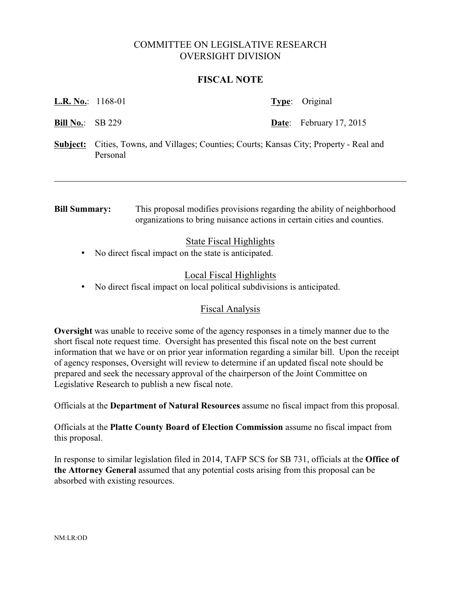# COMMITTEE ON LEGISLATIVE RESEARCH OVERSIGHT DIVISION

### **FISCAL NOTE**

| <b>L.R. No.:</b> 1168-01 |  | <b>Type:</b> Original          |
|--------------------------|--|--------------------------------|
| <b>Bill No.:</b> SB 229  |  | <b>Date:</b> February 17, 2015 |

**Subject:** Cities, Towns, and Villages; Counties; Courts; Kansas City; Property - Real and Personal

**Bill Summary:** This proposal modifies provisions regarding the ability of neighborhood organizations to bring nuisance actions in certain cities and counties.

## State Fiscal Highlights

• No direct fiscal impact on the state is anticipated.

## Local Fiscal Highlights

• No direct fiscal impact on local political subdivisions is anticipated.

#### Fiscal Analysis

**Oversight** was unable to receive some of the agency responses in a timely manner due to the short fiscal note request time. Oversight has presented this fiscal note on the best current information that we have or on prior year information regarding a similar bill. Upon the receipt of agency responses, Oversight will review to determine if an updated fiscal note should be prepared and seek the necessary approval of the chairperson of the Joint Committee on Legislative Research to publish a new fiscal note.

Officials at the **Department of Natural Resources** assume no fiscal impact from this proposal.

Officials at the **Platte County Board of Election Commission** assume no fiscal impact from this proposal.

In response to similar legislation filed in 2014, TAFP SCS for SB 731, officials at the **Office of the Attorney General** assumed that any potential costs arising from this proposal can be absorbed with existing resources.